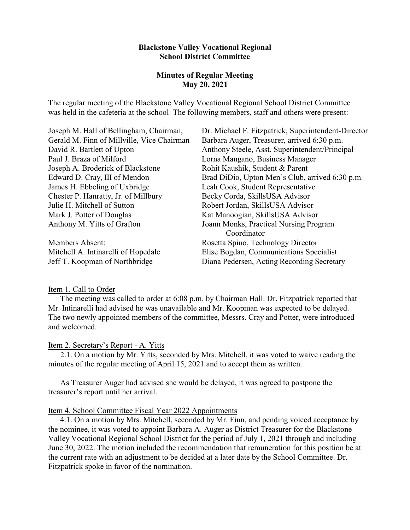# **Blackstone Valley Vocational Regional School District Committee**

# **Minutes of Regular Meeting May 20, 2021**

The regular meeting of the Blackstone Valley Vocational Regional School District Committee was held in the cafeteria at the school The following members, staff and others were present:

| Joseph M. Hall of Bellingham, Chairman,    | Dr. Michael F. Fitzpatrick, Superintendent-Director |
|--------------------------------------------|-----------------------------------------------------|
| Gerald M. Finn of Millville, Vice Chairman | Barbara Auger, Treasurer, arrived 6:30 p.m.         |
| David R. Bartlett of Upton                 | Anthony Steele, Asst. Superintendent/Principal      |
| Paul J. Braza of Milford                   | Lorna Mangano, Business Manager                     |
| Joseph A. Broderick of Blackstone          | Rohit Kaushik, Student & Parent                     |
| Edward D. Cray, III of Mendon              | Brad DiDio, Upton Men's Club, arrived 6:30 p.m.     |
| James H. Ebbeling of Uxbridge              | Leah Cook, Student Representative                   |
| Chester P. Hanratty, Jr. of Millbury       | Becky Corda, SkillsUSA Advisor                      |
| Julie H. Mitchell of Sutton                | Robert Jordan, SkillsUSA Advisor                    |
| Mark J. Potter of Douglas                  | Kat Manoogian, SkillsUSA Advisor                    |
| Anthony M. Yitts of Grafton                | Joann Monks, Practical Nursing Program              |
|                                            | Coordinator                                         |
| <b>Members Absent:</b>                     | Rosetta Spino, Technology Director                  |
| Mitchell A. Intinarelli of Hopedale        | Elise Bogdan, Communications Specialist             |
| Jeff T. Koopman of Northbridge             | Diana Pedersen, Acting Recording Secretary          |
|                                            |                                                     |

# Item 1. Call to Order

The meeting was called to order at 6:08 p.m. by Chairman Hall. Dr. Fitzpatrick reported that Mr. Intinarelli had advised he was unavailable and Mr. Koopman was expected to be delayed. The two newly appointed members of the committee, Messrs. Cray and Potter, were introduced and welcomed.

#### Item 2. Secretary's Report - A. Yitts

2.1. On a motion by Mr. Yitts, seconded by Mrs. Mitchell, it was voted to waive reading the minutes of the regular meeting of April 15, 2021 and to accept them as written.

As Treasurer Auger had advised she would be delayed, it was agreed to postpone the treasurer's report until her arrival.

# Item 4. School Committee Fiscal Year 2022 Appointments

4.1. On a motion by Mrs. Mitchell, seconded by Mr. Finn, and pending voiced acceptance by the nominee, it was voted to appoint Barbara A. Auger as District Treasurer for the Blackstone Valley Vocational Regional School District for the period of July 1, 2021 through and including June 30, 2022. The motion included the recommendation that remuneration for this position be at the current rate with an adjustment to be decided at a later date by the School Committee. Dr. Fitzpatrick spoke in favor of the nomination.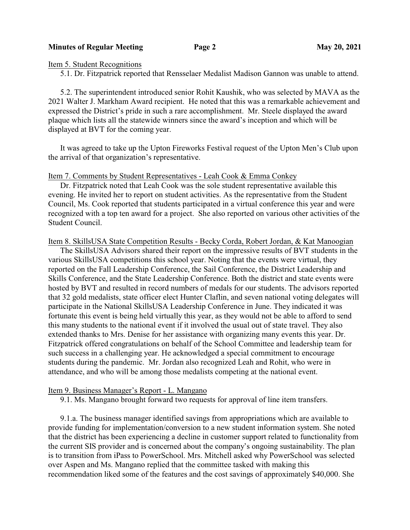## **Minutes of Regular Meeting Page 2 May 20, 2021**

Item 5. Student Recognitions

5.1. Dr. Fitzpatrick reported that Rensselaer Medalist Madison Gannon was unable to attend.

5.2. The superintendent introduced senior Rohit Kaushik, who was selected by MAVA as the 2021 Walter J. Markham Award recipient. He noted that this was a remarkable achievement and expressed the District's pride in such a rare accomplishment. Mr. Steele displayed the award plaque which lists all the statewide winners since the award's inception and which will be displayed at BVT for the coming year.

It was agreed to take up the Upton Fireworks Festival request of the Upton Men's Club upon the arrival of that organization's representative.

# Item 7. Comments by Student Representatives - Leah Cook & Emma Conkey

Dr. Fitzpatrick noted that Leah Cook was the sole student representative available this evening. He invited her to report on student activities. As the representative from the Student Council, Ms. Cook reported that students participated in a virtual conference this year and were recognized with a top ten award for a project. She also reported on various other activities of the Student Council.

Item 8. SkillsUSA State Competition Results - Becky Corda, Robert Jordan, & Kat Manoogian

The SkillsUSA Advisors shared their report on the impressive results of BVT students in the various SkillsUSA competitions this school year. Noting that the events were virtual, they reported on the Fall Leadership Conference, the Sail Conference, the District Leadership and Skills Conference, and the State Leadership Conference. Both the district and state events were hosted by BVT and resulted in record numbers of medals for our students. The advisors reported that 32 gold medalists, state officer elect Hunter Claflin, and seven national voting delegates will participate in the National SkillsUSA Leadership Conference in June. They indicated it was fortunate this event is being held virtually this year, as they would not be able to afford to send this many students to the national event if it involved the usual out of state travel. They also extended thanks to Mrs. Denise for her assistance with organizing many events this year. Dr. Fitzpatrick offered congratulations on behalf of the School Committee and leadership team for such success in a challenging year. He acknowledged a special commitment to encourage students during the pandemic. Mr. Jordan also recognized Leah and Rohit, who were in attendance, and who will be among those medalists competing at the national event.

# Item 9. Business Manager's Report - L. Mangano

9.1. Ms. Mangano brought forward two requests for approval of line item transfers.

9.1.a. The business manager identified savings from appropriations which are available to provide funding for implementation/conversion to a new student information system. She noted that the district has been experiencing a decline in customer support related to functionality from the current SIS provider and is concerned about the company's ongoing sustainability. The plan is to transition from iPass to PowerSchool. Mrs. Mitchell asked why PowerSchool was selected over Aspen and Ms. Mangano replied that the committee tasked with making this recommendation liked some of the features and the cost savings of approximately \$40,000. She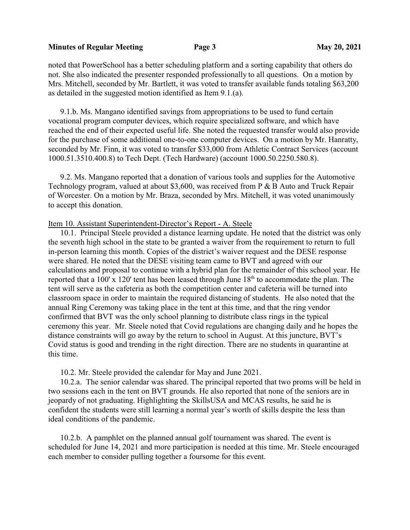## **Minutes of Regular Meeting Page 3 May 20, 2021**

noted that PowerSchool has a better scheduling platform and a sorting capability that others do not. She also indicated the presenter responded professionally to all questions. On a motion by Mrs. Mitchell, seconded by Mr. Bartlett, it was voted to transfer available funds totaling \$63,200 as detailed in the suggested motion identified as Item 9.1.(a).

9.1.b. Ms. Mangano identified savings from appropriations to be used to fund certain vocational program computer devices, which require specialized software, and which have reached the end of their expected useful life. She noted the requested transfer would also provide for the purchase of some additional one-to-one computer devices. On a motion by Mr. Hanratty, seconded by Mr. Finn, it was voted to transfer \$33,000 from Athletic Contract Services (account 1000.51.3510.400.8) to Tech Dept. (Tech Hardware) (account 1000.50.2250.580.8).

9.2. Ms. Mangano reported that a donation of various tools and supplies for the Automotive Technology program, valued at about \$3,600, was received from P & B Auto and Truck Repair of Worcester. On a motion by Mr. Braza, seconded by Mrs. Mitchell, it was voted unanimously to accept this donation.

# Item 10. Assistant Superintendent-Director's Report - A. Steele

10.1. Principal Steele provided a distance learning update. He noted that the district was only the seventh high school in the state to be granted a waiver from the requirement to return to full in-person learning this month. Copies of the district's waiver request and the DESE response were shared. He noted that the DESE visiting team came to BVT and agreed with our calculations and proposal to continue with a hybrid plan for the remainder of this school year. He reported that a 100' x 120' tent has been leased through June  $18<sup>th</sup>$  to accommodate the plan. The tent will serve as the cafeteria as both the competition center and cafeteria will be turned into classroom space in order to maintain the required distancing of students. He also noted that the annual Ring Ceremony was taking place in the tent at this time, and that the ring vendor confirmed that BVT was the only school planning to distribute class rings in the typical ceremony this year. Mr. Steele noted that Covid regulations are changing daily and he hopes the distance constraints will go away by the return to school in August. At this juncture, BVT's Covid status is good and trending in the right direction. There are no students in quarantine at this time.

# 10.2. Mr. Steele provided the calendar for May and June 2021.

10.2.a. The senior calendar was shared. The principal reported that two proms will be held in two sessions each in the tent on BVT grounds. He also reported that none of the seniors are in jeopardy of not graduating. Highlighting the SkillsUSA and MCAS results, he said he is confident the students were still learning a normal year's worth of skills despite the less than ideal conditions of the pandemic.

10.2.b. A pamphlet on the planned annual golf tournament was shared. The event is scheduled for June 14, 2021 and more participation is needed at this time. Mr. Steele encouraged each member to consider pulling together a foursome for this event.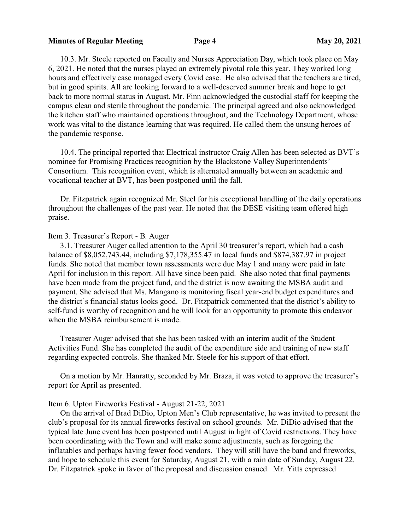### **Minutes of Regular Meeting 20, 2021**

10.3. Mr. Steele reported on Faculty and Nurses Appreciation Day, which took place on May 6, 2021. He noted that the nurses played an extremely pivotal role this year. They worked long hours and effectively case managed every Covid case. He also advised that the teachers are tired, but in good spirits. All are looking forward to a well-deserved summer break and hope to get back to more normal status in August. Mr. Finn acknowledged the custodial staff for keeping the campus clean and sterile throughout the pandemic. The principal agreed and also acknowledged the kitchen staff who maintained operations throughout, and the Technology Department, whose work was vital to the distance learning that was required. He called them the unsung heroes of the pandemic response.

10.4. The principal reported that Electrical instructor Craig Allen has been selected as BVT's nominee for Promising Practices recognition by the Blackstone Valley Superintendents' Consortium. This recognition event, which is alternated annually between an academic and vocational teacher at BVT, has been postponed until the fall.

Dr. Fitzpatrick again recognized Mr. Steel for his exceptional handling of the daily operations throughout the challenges of the past year. He noted that the DESE visiting team offered high praise.

### Item 3. Treasurer's Report - B. Auger

3.1. Treasurer Auger called attention to the April 30 treasurer's report, which had a cash balance of \$8,052,743.44, including \$7,178,355.47 in local funds and \$874,387.97 in project funds. She noted that member town assessments were due May 1 and many were paid in late April for inclusion in this report. All have since been paid. She also noted that final payments have been made from the project fund, and the district is now awaiting the MSBA audit and payment. She advised that Ms. Mangano is monitoring fiscal year-end budget expenditures and the district's financial status looks good. Dr. Fitzpatrick commented that the district's ability to self-fund is worthy of recognition and he will look for an opportunity to promote this endeavor when the MSBA reimbursement is made.

Treasurer Auger advised that she has been tasked with an interim audit of the Student Activities Fund. She has completed the audit of the expenditure side and training of new staff regarding expected controls. She thanked Mr. Steele for his support of that effort.

On a motion by Mr. Hanratty, seconded by Mr. Braza, it was voted to approve the treasurer's report for April as presented.

#### Item 6. Upton Fireworks Festival - August 21-22, 2021

On the arrival of Brad DiDio, Upton Men's Club representative, he was invited to present the club's proposal for its annual fireworks festival on school grounds. Mr. DiDio advised that the typical late June event has been postponed until August in light of Covid restrictions. They have been coordinating with the Town and will make some adjustments, such as foregoing the inflatables and perhaps having fewer food vendors. They will still have the band and fireworks, and hope to schedule this event for Saturday, August 21, with a rain date of Sunday, August 22. Dr. Fitzpatrick spoke in favor of the proposal and discussion ensued. Mr. Yitts expressed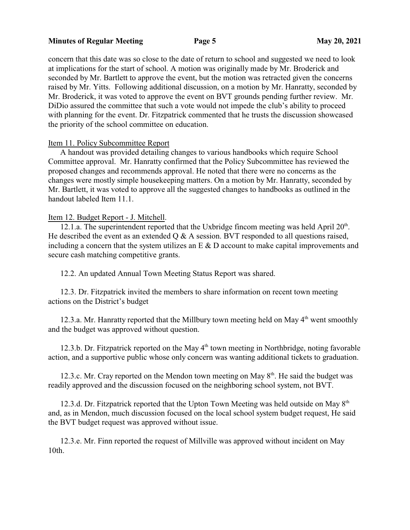### **Minutes of Regular Meeting Page 5 May 20, 2021**

concern that this date was so close to the date of return to school and suggested we need to look at implications for the start of school. A motion was originally made by Mr. Broderick and seconded by Mr. Bartlett to approve the event, but the motion was retracted given the concerns raised by Mr. Yitts. Following additional discussion, on a motion by Mr. Hanratty, seconded by Mr. Broderick, it was voted to approve the event on BVT grounds pending further review. Mr. DiDio assured the committee that such a vote would not impede the club's ability to proceed with planning for the event. Dr. Fitzpatrick commented that he trusts the discussion showcased the priority of the school committee on education.

# Item 11. Policy Subcommittee Report

A handout was provided detailing changes to various handbooks which require School Committee approval. Mr. Hanratty confirmed that the Policy Subcommittee has reviewed the proposed changes and recommends approval. He noted that there were no concerns as the changes were mostly simple housekeeping matters. On a motion by Mr. Hanratty, seconded by Mr. Bartlett, it was voted to approve all the suggested changes to handbooks as outlined in the handout labeled Item 11.1.

### Item 12. Budget Report - J. Mitchell.

12.1.a. The superintendent reported that the Uxbridge fincom meeting was held April  $20<sup>th</sup>$ . He described the event as an extended  $\overline{O} \& A$  session. BVT responded to all questions raised, including a concern that the system utilizes an  $E \& D$  account to make capital improvements and secure cash matching competitive grants.

12.2. An updated Annual Town Meeting Status Report was shared.

12.3. Dr. Fitzpatrick invited the members to share information on recent town meeting actions on the District's budget

12.3.a. Mr. Hanratty reported that the Millbury town meeting held on May  $4<sup>th</sup>$  went smoothly and the budget was approved without question.

12.3.b. Dr. Fitzpatrick reported on the May 4<sup>th</sup> town meeting in Northbridge, noting favorable action, and a supportive public whose only concern was wanting additional tickets to graduation.

12.3.c. Mr. Cray reported on the Mendon town meeting on May 8<sup>th</sup>. He said the budget was readily approved and the discussion focused on the neighboring school system, not BVT.

12.3.d. Dr. Fitzpatrick reported that the Upton Town Meeting was held outside on May  $8<sup>th</sup>$ and, as in Mendon, much discussion focused on the local school system budget request, He said the BVT budget request was approved without issue.

12.3.e. Mr. Finn reported the request of Millville was approved without incident on May 10th.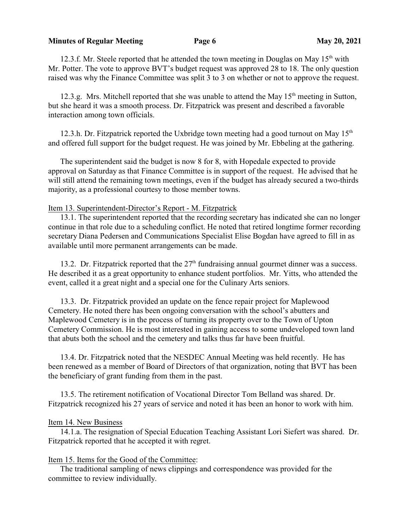### **Minutes of Regular Meeting Page 6 May 20, 2021**

12.3.f. Mr. Steele reported that he attended the town meeting in Douglas on May 15<sup>th</sup> with Mr. Potter. The vote to approve BVT's budget request was approved 28 to 18. The only question raised was why the Finance Committee was split 3 to 3 on whether or not to approve the request.

12.3.g. Mrs. Mitchell reported that she was unable to attend the May  $15<sup>th</sup>$  meeting in Sutton, but she heard it was a smooth process. Dr. Fitzpatrick was present and described a favorable interaction among town officials.

12.3.h. Dr. Fitzpatrick reported the Uxbridge town meeting had a good turnout on May  $15<sup>th</sup>$ and offered full support for the budget request. He was joined by Mr. Ebbeling at the gathering.

The superintendent said the budget is now 8 for 8, with Hopedale expected to provide approval on Saturday as that Finance Committee is in support of the request. He advised that he will still attend the remaining town meetings, even if the budget has already secured a two-thirds majority, as a professional courtesy to those member towns.

# Item 13. Superintendent-Director's Report - M. Fitzpatrick

13.1. The superintendent reported that the recording secretary has indicated she can no longer continue in that role due to a scheduling conflict. He noted that retired longtime former recording secretary Diana Pedersen and Communications Specialist Elise Bogdan have agreed to fill in as available until more permanent arrangements can be made.

13.2. Dr. Fitzpatrick reported that the 27<sup>th</sup> fundraising annual gourmet dinner was a success. He described it as a great opportunity to enhance student portfolios. Mr. Yitts, who attended the event, called it a great night and a special one for the Culinary Arts seniors.

13.3. Dr. Fitzpatrick provided an update on the fence repair project for Maplewood Cemetery. He noted there has been ongoing conversation with the school's abutters and Maplewood Cemetery is in the process of turning its property over to the Town of Upton Cemetery Commission. He is most interested in gaining access to some undeveloped town land that abuts both the school and the cemetery and talks thus far have been fruitful.

13.4. Dr. Fitzpatrick noted that the NESDEC Annual Meeting was held recently. He has been renewed as a member of Board of Directors of that organization, noting that BVT has been the beneficiary of grant funding from them in the past.

13.5. The retirement notification of Vocational Director Tom Belland was shared. Dr. Fitzpatrick recognized his 27 years of service and noted it has been an honor to work with him.

# Item 14. New Business

14.1.a. The resignation of Special Education Teaching Assistant Lori Siefert was shared. Dr. Fitzpatrick reported that he accepted it with regret.

### Item 15. Items for the Good of the Committee:

The traditional sampling of news clippings and correspondence was provided for the committee to review individually.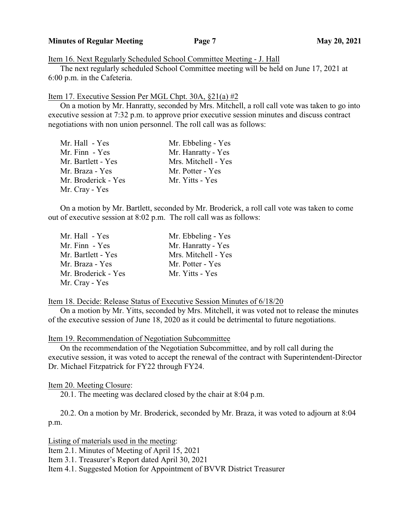### **Minutes of Regular Meeting Page 7 May 20, 2021**

Item 16. Next Regularly Scheduled School Committee Meeting - J. Hall

The next regularly scheduled School Committee meeting will be held on June 17, 2021 at 6:00 p.m. in the Cafeteria.

# Item 17. Executive Session Per MGL Chpt. 30A, §21(a) #2

On a motion by Mr. Hanratty, seconded by Mrs. Mitchell, a roll call vote was taken to go into executive session at 7:32 p.m. to approve prior executive session minutes and discuss contract negotiations with non union personnel. The roll call was as follows:

| Mr. Hall - Yes      | Mr. Ebbeling - Yes  |
|---------------------|---------------------|
| Mr. Finn - Yes      | Mr. Hanratty - Yes  |
| Mr. Bartlett - Yes  | Mrs. Mitchell - Yes |
| Mr. Braza - Yes     | Mr. Potter - Yes    |
| Mr. Broderick - Yes | Mr. Yitts - Yes     |
| Mr. Cray - Yes      |                     |

On a motion by Mr. Bartlett, seconded by Mr. Broderick, a roll call vote was taken to come out of executive session at 8:02 p.m. The roll call was as follows:

| Mr. Hall - Yes      | Mr. Ebbeling - Yes  |
|---------------------|---------------------|
| Mr. Finn - Yes      | Mr. Hanratty - Yes  |
| Mr. Bartlett - Yes  | Mrs. Mitchell - Yes |
| Mr. Braza - Yes     | Mr. Potter - Yes    |
| Mr. Broderick - Yes | Mr. Yitts - Yes     |
| Mr. Cray - Yes      |                     |

### Item 18. Decide: Release Status of Executive Session Minutes of 6/18/20

On a motion by Mr. Yitts, seconded by Mrs. Mitchell, it was voted not to release the minutes of the executive session of June 18, 2020 as it could be detrimental to future negotiations.

Item 19. Recommendation of Negotiation Subcommittee

On the recommendation of the Negotiation Subcommittee, and by roll call during the executive session, it was voted to accept the renewal of the contract with Superintendent-Director Dr. Michael Fitzpatrick for FY22 through FY24.

# Item 20. Meeting Closure:

20.1. The meeting was declared closed by the chair at 8:04 p.m.

20.2. On a motion by Mr. Broderick, seconded by Mr. Braza, it was voted to adjourn at 8:04 p.m.

Listing of materials used in the meeting:

Item 2.1. Minutes of Meeting of April 15, 2021

Item 3.1. Treasurer's Report dated April 30, 2021

Item 4.1. Suggested Motion for Appointment of BVVR District Treasurer